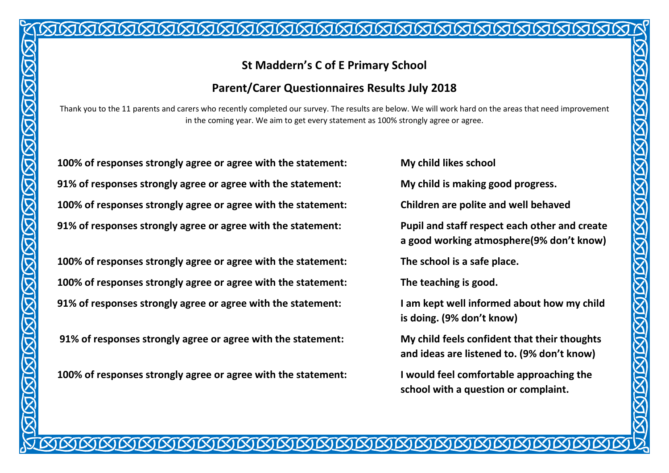## **St Maddern's C of E Primary School**

### **Parent/Carer Questionnaires Results July 2018**

Thank you to the 11 parents and carers who recently completed our survey. The results are below. We will work hard on the areas that need improvement in the coming year. We aim to get every statement as 100% strongly agree or agree.

**100% of responses strongly agree or agree with the statement: My child likes school 91% of responses strongly agree or agree with the statement: My child is making good progress. 100% of responses strongly agree or agree with the statement: Children are polite and well behaved 91% of responses strongly agree or agree with the statement: Pupil and staff respect each other and create** 

**100% of responses strongly agree or agree with the statement: The school is a safe place. 100% of responses strongly agree or agree with the statement: The teaching is good. 91% of responses strongly agree or agree with the statement: I am kept well informed about how my child** 

**91% of responses strongly agree or agree with the statement: My child feels confident that their thoughts** 

**100% of responses strongly agree or agree with the statement: I would feel comfortable approaching the** 

**a good working atmosphere(9% don't know)** 

**is doing. (9% don't know)**

**and ideas are listened to. (9% don't know)** 

**school with a question or complaint.**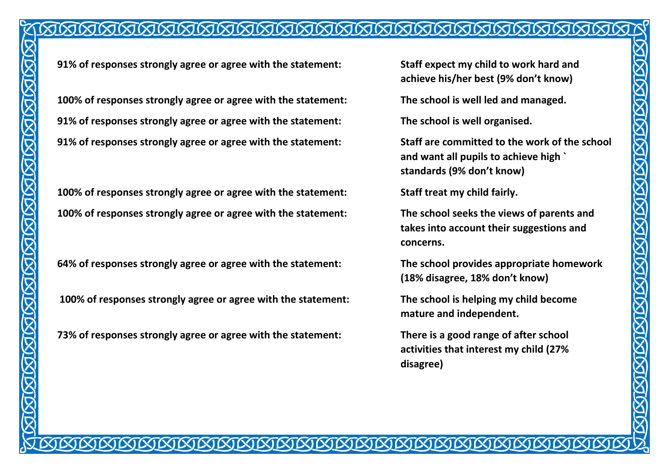# 

**91% of responses strongly agree or agree with the statement: Staff expect my child to work hard and** 

**100% of responses strongly agree or agree with the statement: The school is well led and managed. 91% of responses strongly agree or agree with the statement: The school is well organised. 91% of responses strongly agree or agree with the statement: Staff are committed to the work of the school** 

**100% of responses strongly agree or agree with the statement: Staff treat my child fairly. 100% of responses strongly agree or agree with the statement: The school seeks the views of parents and** 

**64% of responses strongly agree or agree with the statement: The school provides appropriate homework** 

**100% of responses strongly agree or agree with the statement: The school is helping my child become** 

**73% of responses strongly agree or agree with the statement: There is a good range of after school** 

**achieve his/her best (9% don't know)**

**and want all pupils to achieve high ` standards (9% don't know)**

**takes into account their suggestions and concerns.**

**(18% disagree, 18% don't know)**

**mature and independent.** 

**activities that interest my child (27% disagree)**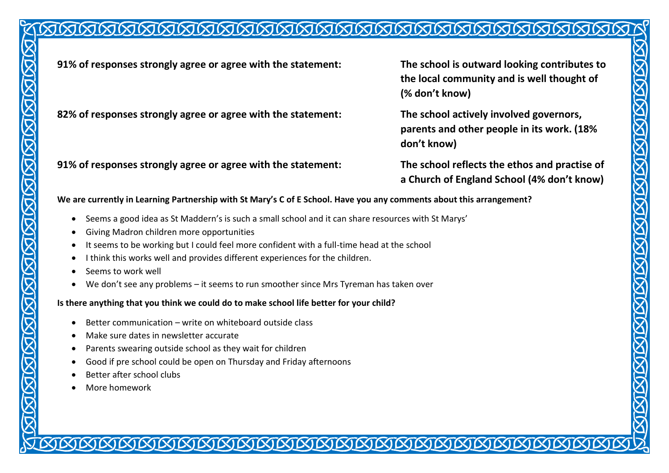# 

**91% of responses strongly agree or agree with the statement: The school is outward looking contributes to** 

**82% of responses strongly agree or agree with the statement: The school actively involved governors,** 

**91% of responses strongly agree or agree with the statement: The school reflects the ethos and practise of** 

**the local community and is well thought of (% don't know)**

**parents and other people in its work. (18% don't know)** 

**a Church of England School (4% don't know)**

**We are currently in Learning Partnership with St Mary's C of E School. Have you any comments about this arrangement?** 

- Seems a good idea as St Maddern's is such a small school and it can share resources with St Marys'
- Giving Madron children more opportunities
- It seems to be working but I could feel more confident with a full-time head at the school
- $\bullet$  I think this works well and provides different experiences for the children.
- Seems to work well
- We don't see any problems it seems to run smoother since Mrs Tyreman has taken over

#### **Is there anything that you think we could do to make school life better for your child?**

- Better communication write on whiteboard outside class
- Make sure dates in newsletter accurate
- Parents swearing outside school as they wait for children
- Good if pre school could be open on Thursday and Friday afternoons
- Better after school clubs
- More homework